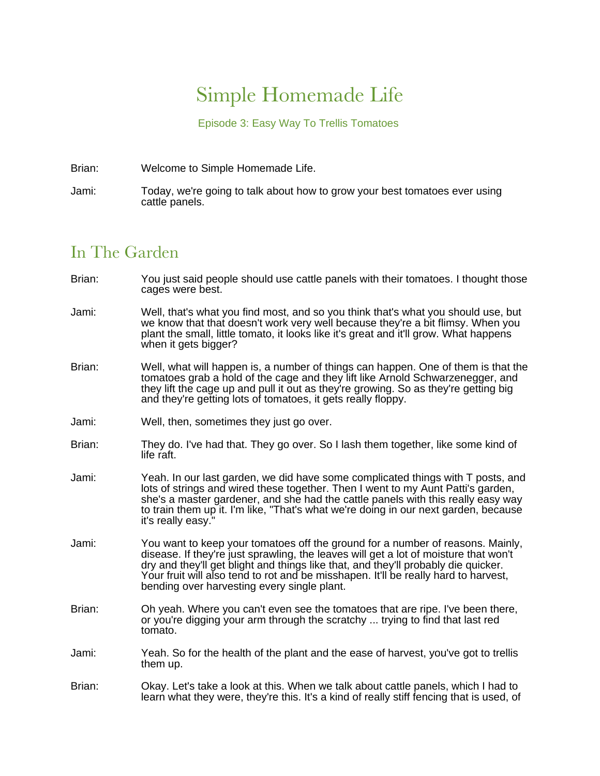## Simple Homemade Life

Episode 3: Easy Way To Trellis Tomatoes

Brian: Welcome to Simple Homemade Life.

Jami: Today, we're going to talk about how to grow your best tomatoes ever using cattle panels.

## In The Garden

- Brian: You just said people should use cattle panels with their tomatoes. I thought those cages were best.
- Jami: Well, that's what you find most, and so you think that's what you should use, but we know that that doesn't work very well because they're a bit flimsy. When you plant the small, little tomato, it looks like it's great and it'll grow. What happens when it gets bigger?
- Brian: Well, what will happen is, a number of things can happen. One of them is that the tomatoes grab a hold of the cage and they lift like Arnold Schwarzenegger, and they lift the cage up and pull it out as they're growing. So as they're getting big and they're getting lots of tomatoes, it gets really floppy.
- Jami: Well, then, sometimes they just go over.
- Brian: They do. I've had that. They go over. So I lash them together, like some kind of life raft.
- Jami: Yeah. In our last garden, we did have some complicated things with T posts, and lots of strings and wired these together. Then I went to my Aunt Patti's garden, she's a master gardener, and she had the cattle panels with this really easy way to train them up it. I'm like, "That's what we're doing in our next garden, because it's really easy."
- Jami: You want to keep your tomatoes off the ground for a number of reasons. Mainly, disease. If they're just sprawling, the leaves will get a lot of moisture that won't dry and they'll get blight and things like that, and they'll probably die quicker. Your fruit will also tend to rot and be misshapen. It'll be really hard to harvest, bending over harvesting every single plant.
- Brian: Oh yeah. Where you can't even see the tomatoes that are ripe. I've been there, or you're digging your arm through the scratchy ... trying to find that last red tomato.
- Jami: Yeah. So for the health of the plant and the ease of harvest, you've got to trellis them up.
- Brian: Okay. Let's take a look at this. When we talk about cattle panels, which I had to learn what they were, they're this. It's a kind of really stiff fencing that is used, of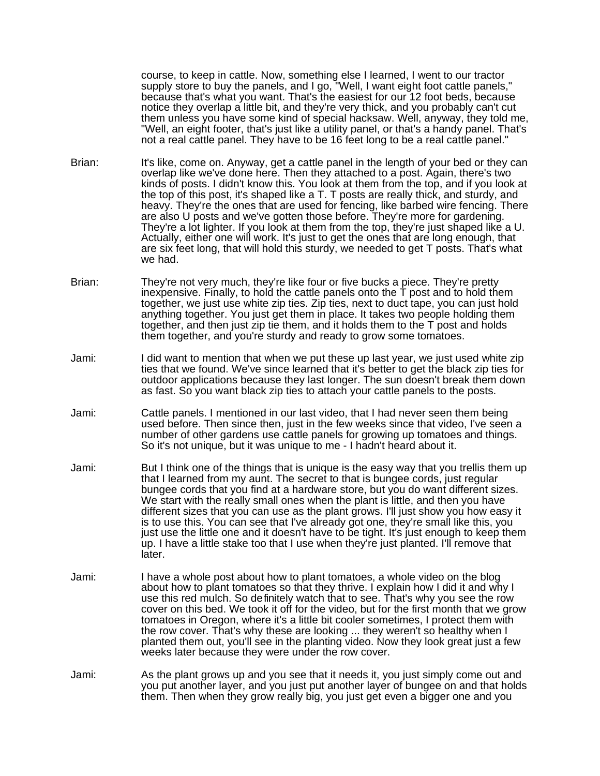course, to keep in cattle. Now, something else I learned, I went to our tractor supply store to buy the panels, and I go, "Well, I want eight foot cattle panels," because that's what you want. That's the easiest for our 12 foot beds, because notice they overlap a little bit, and they're very thick, and you probably can't cut them unless you have some kind of special hacksaw. Well, anyway, they told me, "Well, an eight footer, that's just like a utility panel, or that's a handy panel. That's not a real cattle panel. They have to be 16 feet long to be a real cattle panel."

- Brian: It's like, come on. Anyway, get a cattle panel in the length of your bed or they can overlap like we've done here. Then they attached to a post. Again, there's two kinds of posts. I didn't know this. You look at them from the top, and if you look at the top of this post, it's shaped like a T. T posts are really thick, and sturdy, and heavy. They're the ones that are used for fencing, like barbed wire fencing. There are also U posts and we've gotten those before. They're more for gardening. They're a lot lighter. If you look at them from the top, they're just shaped like a U. Actually, either one will work. It's just to get the ones that are long enough, that are six feet long, that will hold this sturdy, we needed to get T posts. That's what we had.
- Brian: They're not very much, they're like four or five bucks a piece. They're pretty inexpensive. Finally, to hold the cattle panels onto the T post and to hold them together, we just use white zip ties. Zip ties, next to duct tape, you can just hold anything together. You just get them in place. It takes two people holding them together, and then just zip tie them, and it holds them to the T post and holds them together, and you're sturdy and ready to grow some tomatoes.
- Jami: I did want to mention that when we put these up last year, we just used white zip ties that we found. We've since learned that it's better to get the black zip ties for outdoor applications because they last longer. The sun doesn't break them down as fast. So you want black zip ties to attach your cattle panels to the posts.
- Jami: Cattle panels. I mentioned in our last video, that I had never seen them being used before. Then since then, just in the few weeks since that video, I've seen a number of other gardens use cattle panels for growing up tomatoes and things. So it's not unique, but it was unique to me - I hadn't heard about it.
- Jami: But I think one of the things that is unique is the easy way that you trellis them up that I learned from my aunt. The secret to that is bungee cords, just regular bungee cords that you find at a hardware store, but you do want different sizes. We start with the really small ones when the plant is little, and then you have different sizes that you can use as the plant grows. I'll just show you how easy it is to use this. You can see that I've already got one, they're small like this, you just use the little one and it doesn't have to be tight. It's just enough to keep them up. I have a little stake too that I use when they're just planted. I'll remove that later.
- Jami: I have a whole post about how to plant tomatoes, a whole video on the blog about how to plant tomatoes so that they thrive. I explain how I did it and why I use this red mulch. So definitely watch that to see. That's why you see the row cover on this bed. We took it off for the video, but for the first month that we grow tomatoes in Oregon, where it's a little bit cooler sometimes, I protect them with the row cover. That's why these are looking ... they weren't so healthy when I planted them out, you'll see in the planting video. Now they look great just a few weeks later because they were under the row cover.
- Jami: As the plant grows up and you see that it needs it, you just simply come out and you put another layer, and you just put another layer of bungee on and that holds them. Then when they grow really big, you just get even a bigger one and you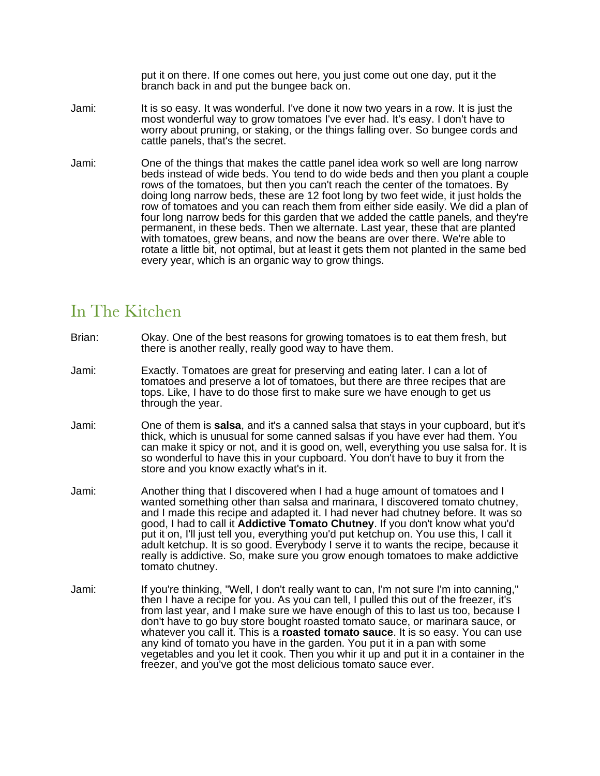put it on there. If one comes out here, you just come out one day, put it the branch back in and put the bungee back on.

- Jami: It is so easy. It was wonderful. I've done it now two years in a row. It is just the most wonderful way to grow tomatoes I've ever had. It's easy. I don't have to worry about pruning, or staking, or the things falling over. So bungee cords and cattle panels, that's the secret.
- Jami: One of the things that makes the cattle panel idea work so well are long narrow beds instead of wide beds. You tend to do wide beds and then you plant a couple rows of the tomatoes, but then you can't reach the center of the tomatoes. By doing long narrow beds, these are 12 foot long by two feet wide, it just holds the row of tomatoes and you can reach them from either side easily. We did a plan of four long narrow beds for this garden that we added the cattle panels, and they're permanent, in these beds. Then we alternate. Last year, these that are planted with tomatoes, grew beans, and now the beans are over there. We're able to rotate a little bit, not optimal, but at least it gets them not planted in the same bed every year, which is an organic way to grow things.

## In The Kitchen

- Brian: Okay. One of the best reasons for growing tomatoes is to eat them fresh, but there is another really, really good way to have them.
- Jami: Exactly. Tomatoes are great for preserving and eating later. I can a lot of tomatoes and preserve a lot of tomatoes, but there are three recipes that are tops. Like, I have to do those first to make sure we have enough to get us through the year.
- Jami: One of them is **salsa**, and it's a canned salsa that stays in your cupboard, but it's thick, which is unusual for some canned salsas if you have ever had them. You can make it spicy or not, and it is good on, well, everything you use salsa for. It is so wonderful to have this in your cupboard. You don't have to buy it from the store and you know exactly what's in it.
- Jami: Another thing that I discovered when I had a huge amount of tomatoes and I wanted something other than salsa and marinara, I discovered tomato chutney, and I made this recipe and adapted it. I had never had chutney before. It was so good, I had to call it **Addictive Tomato Chutney**. If you don't know what you'd put it on, I'll just tell you, everything you'd put ketchup on. You use this, I call it adult ketchup. It is so good. Everybody I serve it to wants the recipe, because it really is addictive. So, make sure you grow enough tomatoes to make addictive tomato chutney.
- Jami: If you're thinking, "Well, I don't really want to can, I'm not sure I'm into canning." then I have a recipe for you. As you can tell, I pulled this out of the freezer, it's from last year, and I make sure we have enough of this to last us too, because I don't have to go buy store bought roasted tomato sauce, or marinara sauce, or whatever you call it. This is a **roasted tomato sauce**. It is so easy. You can use any kind of tomato you have in the garden. You put it in a pan with some vegetables and you let it cook. Then you whir it up and put it in a container in the freezer, and you've got the most delicious tomato sauce ever.